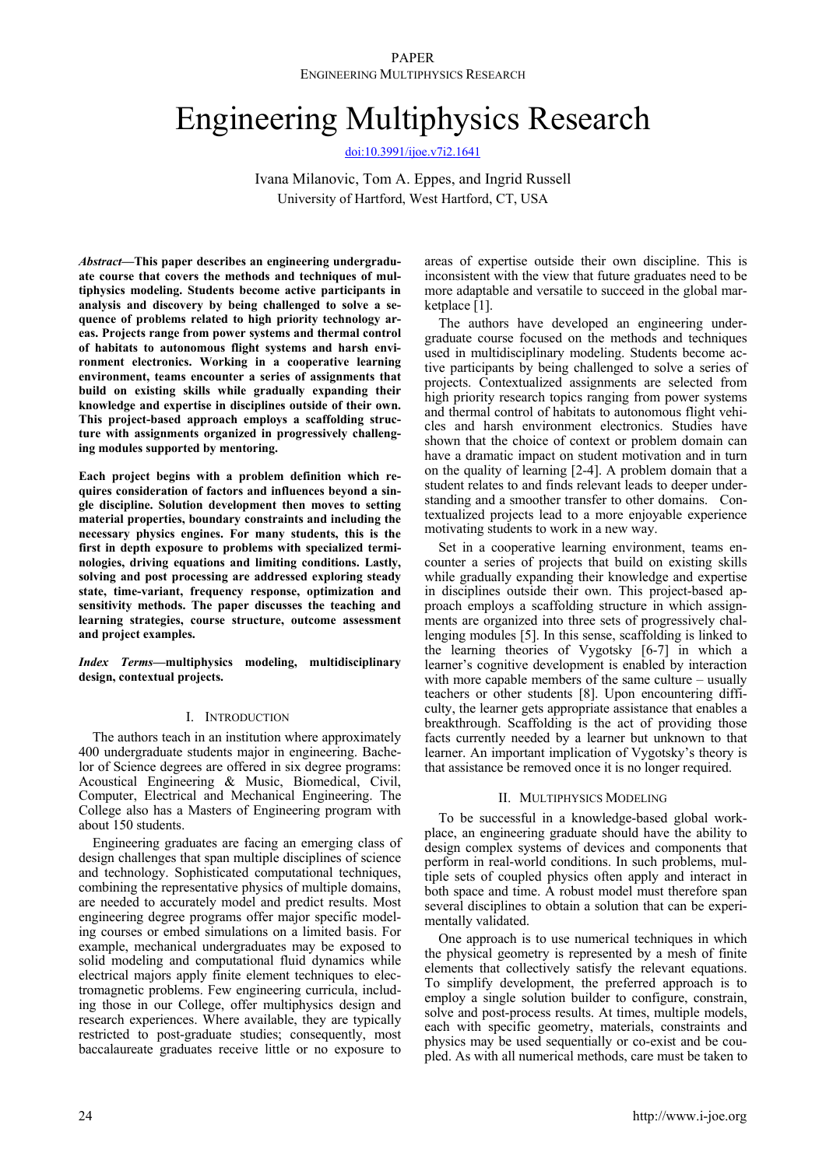# Engineering Multiphysics Research

[doi:10.3991/ijoe.v7i2.1641](http://dx.doi.org/ijoe.v7i2.1641)

Ivana Milanovic, Tom A. Eppes, and Ingrid Russell University of Hartford, West Hartford, CT, USA

*Abstract***—This paper describes an engineering undergraduate course that covers the methods and techniques of multiphysics modeling. Students become active participants in analysis and discovery by being challenged to solve a sequence of problems related to high priority technology areas. Projects range from power systems and thermal control of habitats to autonomous flight systems and harsh environment electronics. Working in a cooperative learning environment, teams encounter a series of assignments that build on existing skills while gradually expanding their knowledge and expertise in disciplines outside of their own. This project-based approach employs a scaffolding structure with assignments organized in progressively challenging modules supported by mentoring.** 

**Each project begins with a problem definition which requires consideration of factors and influences beyond a single discipline. Solution development then moves to setting material properties, boundary constraints and including the necessary physics engines. For many students, this is the first in depth exposure to problems with specialized terminologies, driving equations and limiting conditions. Lastly, solving and post processing are addressed exploring steady state, time-variant, frequency response, optimization and sensitivity methods. The paper discusses the teaching and learning strategies, course structure, outcome assessment and project examples.** 

*Index Terms***—multiphysics modeling, multidisciplinary design, contextual projects.** 

#### I. INTRODUCTION

The authors teach in an institution where approximately 400 undergraduate students major in engineering. Bachelor of Science degrees are offered in six degree programs: Acoustical Engineering & Music, Biomedical, Civil, Computer, Electrical and Mechanical Engineering. The College also has a Masters of Engineering program with about 150 students.

Engineering graduates are facing an emerging class of design challenges that span multiple disciplines of science and technology. Sophisticated computational techniques, combining the representative physics of multiple domains, are needed to accurately model and predict results. Most engineering degree programs offer major specific modeling courses or embed simulations on a limited basis. For example, mechanical undergraduates may be exposed to solid modeling and computational fluid dynamics while electrical majors apply finite element techniques to electromagnetic problems. Few engineering curricula, including those in our College, offer multiphysics design and research experiences. Where available, they are typically restricted to post-graduate studies; consequently, most baccalaureate graduates receive little or no exposure to

areas of expertise outside their own discipline. This is inconsistent with the view that future graduates need to be more adaptable and versatile to succeed in the global marketplace [1].

The authors have developed an engineering undergraduate course focused on the methods and techniques used in multidisciplinary modeling. Students become active participants by being challenged to solve a series of projects. Contextualized assignments are selected from high priority research topics ranging from power systems and thermal control of habitats to autonomous flight vehicles and harsh environment electronics. Studies have shown that the choice of context or problem domain can have a dramatic impact on student motivation and in turn on the quality of learning [2-4]. A problem domain that a student relates to and finds relevant leads to deeper understanding and a smoother transfer to other domains. Contextualized projects lead to a more enjoyable experience motivating students to work in a new way.

Set in a cooperative learning environment, teams encounter a series of projects that build on existing skills while gradually expanding their knowledge and expertise in disciplines outside their own. This project-based approach employs a scaffolding structure in which assignments are organized into three sets of progressively challenging modules [5]. In this sense, scaffolding is linked to the learning theories of Vygotsky [6-7] in which a learner's cognitive development is enabled by interaction with more capable members of the same culture – usually teachers or other students [8]. Upon encountering difficulty, the learner gets appropriate assistance that enables a breakthrough. Scaffolding is the act of providing those facts currently needed by a learner but unknown to that learner. An important implication of Vygotsky's theory is that assistance be removed once it is no longer required.

#### II. MULTIPHYSICS MODELING

To be successful in a knowledge-based global workplace, an engineering graduate should have the ability to design complex systems of devices and components that perform in real-world conditions. In such problems, multiple sets of coupled physics often apply and interact in both space and time. A robust model must therefore span several disciplines to obtain a solution that can be experimentally validated.

One approach is to use numerical techniques in which the physical geometry is represented by a mesh of finite elements that collectively satisfy the relevant equations. To simplify development, the preferred approach is to employ a single solution builder to configure, constrain, solve and post-process results. At times, multiple models, each with specific geometry, materials, constraints and physics may be used sequentially or co-exist and be coupled. As with all numerical methods, care must be taken to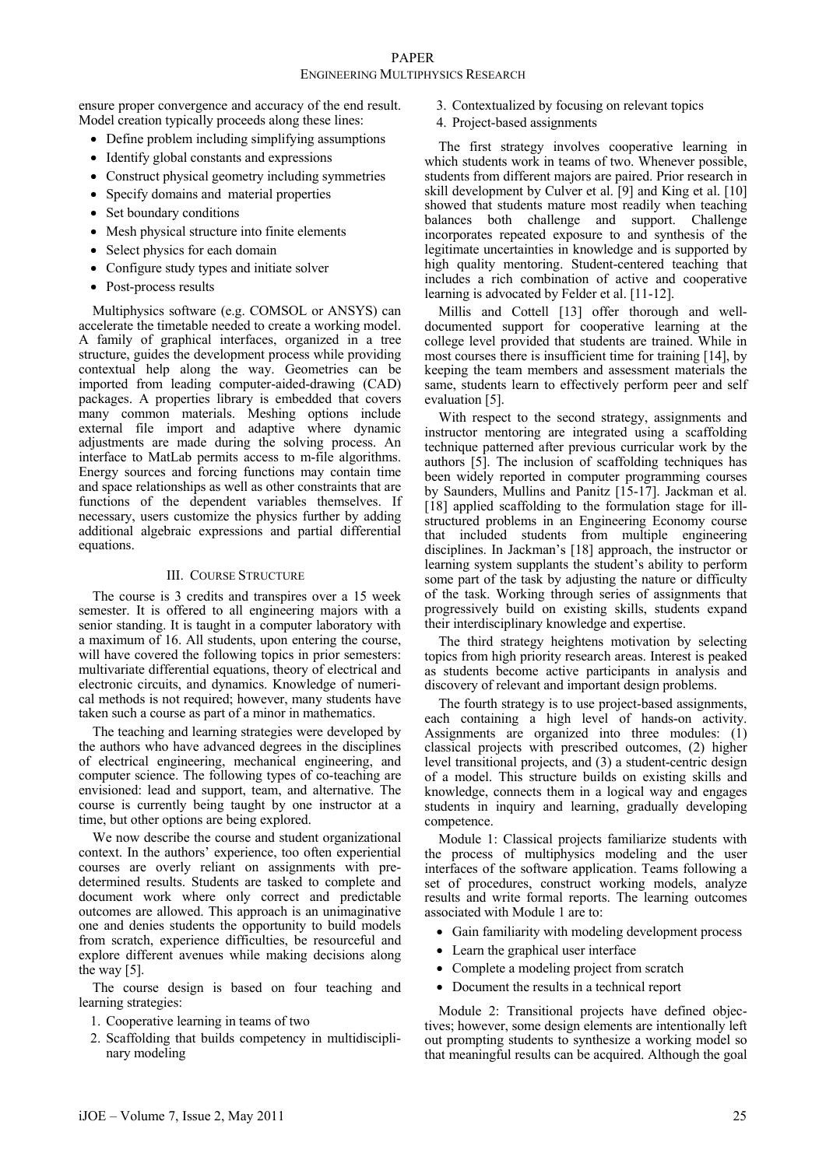ensure proper convergence and accuracy of the end result. Model creation typically proceeds along these lines:

- Define problem including simplifying assumptions
- Identify global constants and expressions
- Construct physical geometry including symmetries
- Specify domains and material properties
- Set boundary conditions
- Mesh physical structure into finite elements
- Select physics for each domain
- Configure study types and initiate solver
- Post-process results

Multiphysics software (e.g. COMSOL or ANSYS) can accelerate the timetable needed to create a working model. A family of graphical interfaces, organized in a tree structure, guides the development process while providing contextual help along the way. Geometries can be imported from leading computer-aided-drawing (CAD) packages. A properties library is embedded that covers many common materials. Meshing options include external file import and adaptive where dynamic adjustments are made during the solving process. An interface to MatLab permits access to m-file algorithms. Energy sources and forcing functions may contain time and space relationships as well as other constraints that are functions of the dependent variables themselves. If necessary, users customize the physics further by adding additional algebraic expressions and partial differential equations.

## III. COURSE STRUCTURE

The course is 3 credits and transpires over a 15 week semester. It is offered to all engineering majors with a senior standing. It is taught in a computer laboratory with a maximum of 16. All students, upon entering the course, will have covered the following topics in prior semesters: multivariate differential equations, theory of electrical and electronic circuits, and dynamics. Knowledge of numerical methods is not required; however, many students have taken such a course as part of a minor in mathematics.

The teaching and learning strategies were developed by the authors who have advanced degrees in the disciplines of electrical engineering, mechanical engineering, and computer science. The following types of co-teaching are envisioned: lead and support, team, and alternative. The course is currently being taught by one instructor at a time, but other options are being explored.

We now describe the course and student organizational context. In the authors' experience, too often experiential courses are overly reliant on assignments with predetermined results. Students are tasked to complete and document work where only correct and predictable outcomes are allowed. This approach is an unimaginative one and denies students the opportunity to build models from scratch, experience difficulties, be resourceful and explore different avenues while making decisions along the way [5].

The course design is based on four teaching and learning strategies:

- 1. Cooperative learning in teams of two
- 2. Scaffolding that builds competency in multidisciplinary modeling
- 3. Contextualized by focusing on relevant topics
- 4. Project-based assignments

The first strategy involves cooperative learning in which students work in teams of two. Whenever possible, students from different majors are paired. Prior research in skill development by Culver et al. [9] and King et al. [10] showed that students mature most readily when teaching balances both challenge and support. Challenge incorporates repeated exposure to and synthesis of the legitimate uncertainties in knowledge and is supported by high quality mentoring. Student-centered teaching that includes a rich combination of active and cooperative learning is advocated by Felder et al. [11-12].

Millis and Cottell [13] offer thorough and welldocumented support for cooperative learning at the college level provided that students are trained. While in most courses there is insufficient time for training [14], by keeping the team members and assessment materials the same, students learn to effectively perform peer and self evaluation [5].

With respect to the second strategy, assignments and instructor mentoring are integrated using a scaffolding technique patterned after previous curricular work by the authors [5]. The inclusion of scaffolding techniques has been widely reported in computer programming courses by Saunders, Mullins and Panitz [15-17]. Jackman et al. [18] applied scaffolding to the formulation stage for illstructured problems in an Engineering Economy course that included students from multiple engineering disciplines. In Jackman's [18] approach, the instructor or learning system supplants the student's ability to perform some part of the task by adjusting the nature or difficulty of the task. Working through series of assignments that progressively build on existing skills, students expand their interdisciplinary knowledge and expertise.

The third strategy heightens motivation by selecting topics from high priority research areas. Interest is peaked as students become active participants in analysis and discovery of relevant and important design problems.

The fourth strategy is to use project-based assignments, each containing a high level of hands-on activity. Assignments are organized into three modules: (1) classical projects with prescribed outcomes, (2) higher level transitional projects, and (3) a student-centric design of a model. This structure builds on existing skills and knowledge, connects them in a logical way and engages students in inquiry and learning, gradually developing competence.

Module 1: Classical projects familiarize students with the process of multiphysics modeling and the user interfaces of the software application. Teams following a set of procedures, construct working models, analyze results and write formal reports. The learning outcomes associated with Module 1 are to:

- Gain familiarity with modeling development process
- Learn the graphical user interface
- Complete a modeling project from scratch
- Document the results in a technical report

Module 2: Transitional projects have defined objectives; however, some design elements are intentionally left out prompting students to synthesize a working model so that meaningful results can be acquired. Although the goal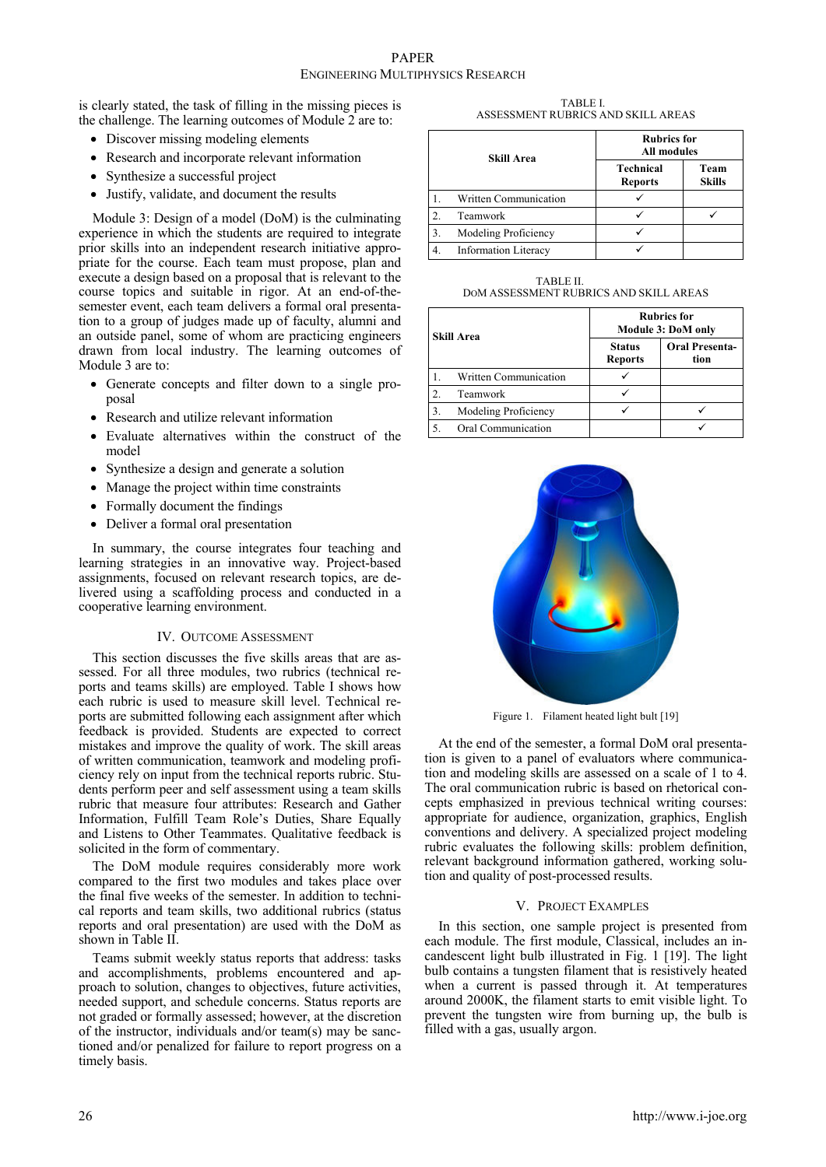is clearly stated, the task of filling in the missing pieces is the challenge. The learning outcomes of Module 2 are to:

- Discover missing modeling elements
- Research and incorporate relevant information
- Synthesize a successful project
- Justify, validate, and document the results

Module 3: Design of a model (DoM) is the culminating experience in which the students are required to integrate prior skills into an independent research initiative appropriate for the course. Each team must propose, plan and execute a design based on a proposal that is relevant to the course topics and suitable in rigor. At an end-of-thesemester event, each team delivers a formal oral presentation to a group of judges made up of faculty, alumni and an outside panel, some of whom are practicing engineers drawn from local industry. The learning outcomes of Module 3 are to:

- Generate concepts and filter down to a single proposal
- Research and utilize relevant information
- Evaluate alternatives within the construct of the model
- Synthesize a design and generate a solution
- Manage the project within time constraints
- Formally document the findings
- Deliver a formal oral presentation

In summary, the course integrates four teaching and learning strategies in an innovative way. Project-based assignments, focused on relevant research topics, are delivered using a scaffolding process and conducted in a cooperative learning environment.

#### IV. OUTCOME ASSESSMENT

This section discusses the five skills areas that are assessed. For all three modules, two rubrics (technical reports and teams skills) are employed. Table I shows how each rubric is used to measure skill level. Technical reports are submitted following each assignment after which feedback is provided. Students are expected to correct mistakes and improve the quality of work. The skill areas of written communication, teamwork and modeling proficiency rely on input from the technical reports rubric. Students perform peer and self assessment using a team skills rubric that measure four attributes: Research and Gather Information, Fulfill Team Role's Duties, Share Equally and Listens to Other Teammates. Qualitative feedback is solicited in the form of commentary.

The DoM module requires considerably more work compared to the first two modules and takes place over the final five weeks of the semester. In addition to technical reports and team skills, two additional rubrics (status reports and oral presentation) are used with the DoM as shown in Table II.

Teams submit weekly status reports that address: tasks and accomplishments, problems encountered and approach to solution, changes to objectives, future activities, needed support, and schedule concerns. Status reports are not graded or formally assessed; however, at the discretion of the instructor, individuals and/or team(s) may be sanctioned and/or penalized for failure to report progress on a timely basis.

TABLE I. ASSESSMENT RUBRICS AND SKILL AREAS

| <b>Skill Area</b> |                             | <b>Rubrics for</b><br><b>All modules</b> |                       |
|-------------------|-----------------------------|------------------------------------------|-----------------------|
|                   |                             | <b>Technical</b><br><b>Reports</b>       | Team<br><b>Skills</b> |
|                   | Written Communication       |                                          |                       |
|                   | Teamwork                    |                                          |                       |
| 3.                | Modeling Proficiency        |                                          |                       |
|                   | <b>Information Literacy</b> |                                          |                       |

TABLE II. DOM ASSESSMENT RUBRICS AND SKILL AREAS

| <b>Skill Area</b> |                       | <b>Rubrics for</b><br>Module 3: DoM only |                               |
|-------------------|-----------------------|------------------------------------------|-------------------------------|
|                   |                       | <b>Status</b><br><b>Reports</b>          | <b>Oral Presenta-</b><br>tion |
|                   | Written Communication |                                          |                               |
| $\overline{2}$    | Teamwork              |                                          |                               |
| I 3.              | Modeling Proficiency  |                                          |                               |
|                   | Oral Communication    |                                          |                               |



Figure 1. Filament heated light bult [19]

At the end of the semester, a formal DoM oral presentation is given to a panel of evaluators where communication and modeling skills are assessed on a scale of 1 to 4. The oral communication rubric is based on rhetorical concepts emphasized in previous technical writing courses: appropriate for audience, organization, graphics, English conventions and delivery. A specialized project modeling rubric evaluates the following skills: problem definition, relevant background information gathered, working solution and quality of post-processed results.

#### V. PROJECT EXAMPLES

In this section, one sample project is presented from each module. The first module, Classical, includes an incandescent light bulb illustrated in Fig. 1 [19]. The light bulb contains a tungsten filament that is resistively heated when a current is passed through it. At temperatures around 2000K, the filament starts to emit visible light. To prevent the tungsten wire from burning up, the bulb is filled with a gas, usually argon.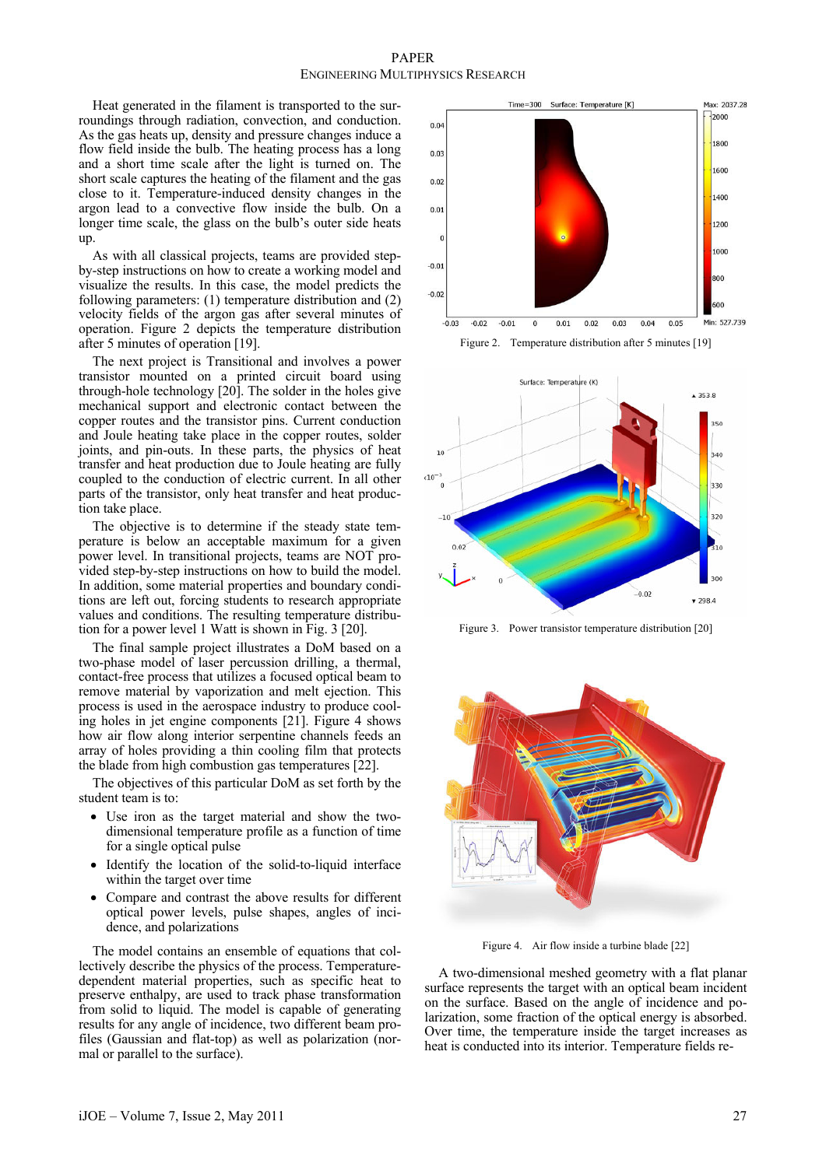Heat generated in the filament is transported to the surroundings through radiation, convection, and conduction. As the gas heats up, density and pressure changes induce a flow field inside the bulb. The heating process has a long and a short time scale after the light is turned on. The short scale captures the heating of the filament and the gas close to it. Temperature-induced density changes in the argon lead to a convective flow inside the bulb. On a longer time scale, the glass on the bulb's outer side heats up.

As with all classical projects, teams are provided stepby-step instructions on how to create a working model and visualize the results. In this case, the model predicts the following parameters: (1) temperature distribution and (2) velocity fields of the argon gas after several minutes of operation. Figure 2 depicts the temperature distribution after 5 minutes of operation [19].

The next project is Transitional and involves a power transistor mounted on a printed circuit board using through-hole technology [20]. The solder in the holes give mechanical support and electronic contact between the copper routes and the transistor pins. Current conduction and Joule heating take place in the copper routes, solder joints, and pin-outs. In these parts, the physics of heat transfer and heat production due to Joule heating are fully coupled to the conduction of electric current. In all other parts of the transistor, only heat transfer and heat production take place.

The objective is to determine if the steady state temperature is below an acceptable maximum for a given power level. In transitional projects, teams are NOT provided step-by-step instructions on how to build the model. In addition, some material properties and boundary conditions are left out, forcing students to research appropriate values and conditions. The resulting temperature distribution for a power level 1 Watt is shown in Fig. 3 [20].

The final sample project illustrates a DoM based on a two-phase model of laser percussion drilling, a thermal, contact-free process that utilizes a focused optical beam to remove material by vaporization and melt ejection. This process is used in the aerospace industry to produce cooling holes in jet engine components [21]. Figure 4 shows how air flow along interior serpentine channels feeds an array of holes providing a thin cooling film that protects the blade from high combustion gas temperatures [22].

The objectives of this particular DoM as set forth by the student team is to:

- Use iron as the target material and show the twodimensional temperature profile as a function of time for a single optical pulse
- Identify the location of the solid-to-liquid interface within the target over time
- Compare and contrast the above results for different optical power levels, pulse shapes, angles of incidence, and polarizations

The model contains an ensemble of equations that collectively describe the physics of the process. Temperaturedependent material properties, such as specific heat to preserve enthalpy, are used to track phase transformation from solid to liquid. The model is capable of generating results for any angle of incidence, two different beam profiles (Gaussian and flat-top) as well as polarization (normal or parallel to the surface).





Figure 3. Power transistor temperature distribution [20]



Figure 4. Air flow inside a turbine blade [22]

A two-dimensional meshed geometry with a flat planar surface represents the target with an optical beam incident on the surface. Based on the angle of incidence and polarization, some fraction of the optical energy is absorbed. Over time, the temperature inside the target increases as heat is conducted into its interior. Temperature fields re-